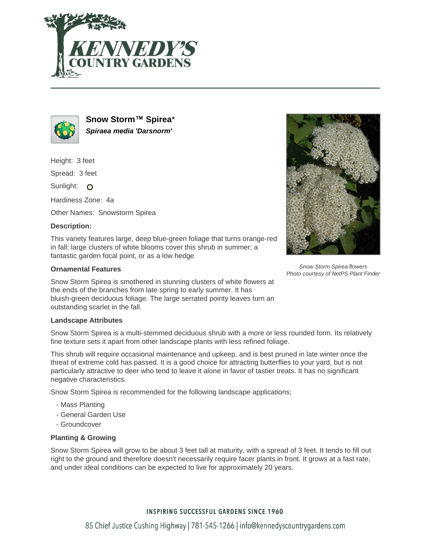



**Snow Storm™ Spirea**\* **Spiraea media 'Darsnorm'**

Height: 3 feet

Spread: 3 feet

Sunlight: O

Hardiness Zone: 4a

Other Names: Snowstorm Spirea

# **Description:**

This variety features large, deep blue-green foliage that turns orange-red in fall; large clusters of white blooms cover this shrub in summer; a fantastic garden focal point, or as a low hedge

### **Ornamental Features**

Snow Storm Spirea is smothered in stunning clusters of white flowers at the ends of the branches from late spring to early summer. It has bluish-green deciduous foliage. The large serrated pointy leaves turn an outstanding scarlet in the fall.

#### **Landscape Attributes**

Snow Storm Spirea is a multi-stemmed deciduous shrub with a more or less rounded form. Its relatively fine texture sets it apart from other landscape plants with less refined foliage.

This shrub will require occasional maintenance and upkeep, and is best pruned in late winter once the threat of extreme cold has passed. It is a good choice for attracting butterflies to your yard, but is not particularly attractive to deer who tend to leave it alone in favor of tastier treats. It has no significant negative characteristics.

Snow Storm Spirea is recommended for the following landscape applications;

- Mass Planting
- General Garden Use
- Groundcover

# **Planting & Growing**

Snow Storm Spirea will grow to be about 3 feet tall at maturity, with a spread of 3 feet. It tends to fill out right to the ground and therefore doesn't necessarily require facer plants in front. It grows at a fast rate, and under ideal conditions can be expected to live for approximately 20 years.

# **INSPIRING SUCCESSFUL GARDENS SINCE 1960**



Snow Storm Spirea flowers Photo courtesy of NetPS Plant Finder